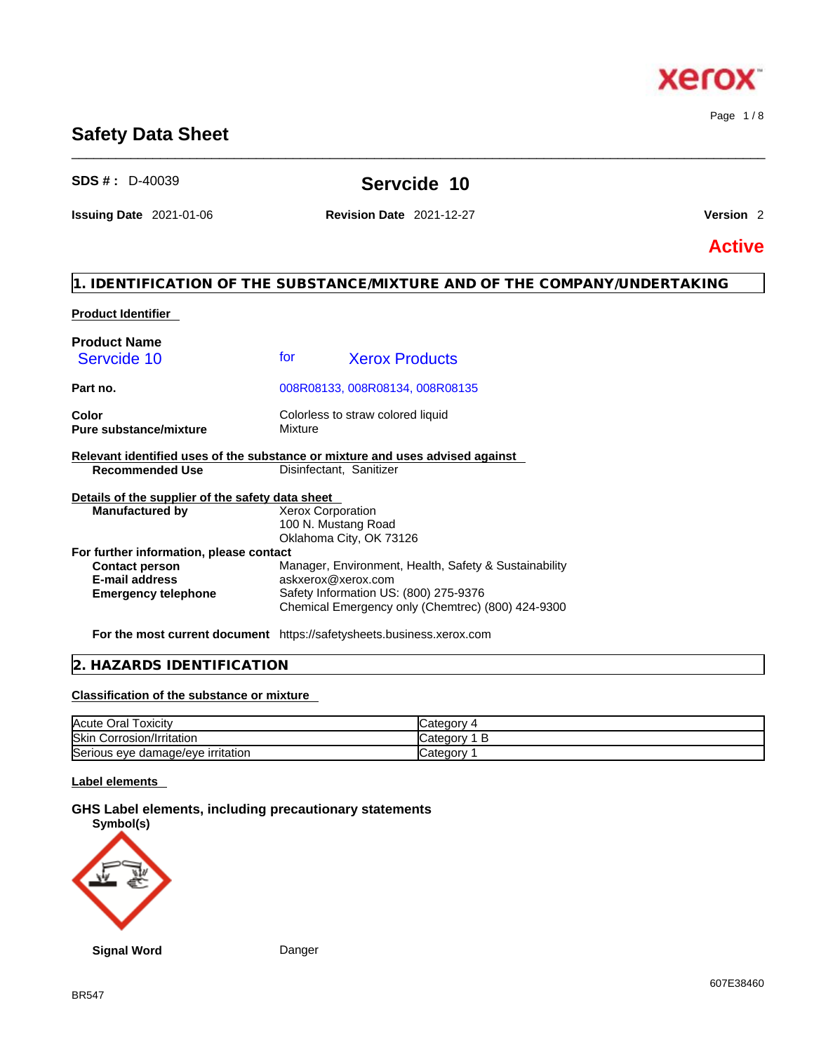# BR547

# **Safety Data Sheet**

**SDS # :** D-40039 **Servcide 10** 

\_\_\_\_\_\_\_\_\_\_\_\_\_\_\_\_\_\_\_\_\_\_\_\_\_\_\_\_\_\_\_\_\_\_\_\_\_\_\_\_\_\_\_\_\_\_\_\_\_\_\_\_\_\_\_\_\_\_\_\_\_\_\_\_\_\_\_\_\_\_\_\_\_\_\_\_\_\_\_\_\_\_\_\_\_\_\_\_\_\_\_\_\_\_

**Issuing Date** 2021-01-06 **Revision Date** 2021-12-27 **Version** 2

Page 1 / 8

**xero** 

K.

**Active**

# **1. IDENTIFICATION OF THE SUBSTANCE/MIXTURE AND OF THE COMPANY/UNDERTAKING**

# **Product Identifier**

| <b>Product Name</b>                                                           |                         |                                                       |
|-------------------------------------------------------------------------------|-------------------------|-------------------------------------------------------|
| Servcide 10                                                                   | for                     | <b>Xerox Products</b>                                 |
| Part no.                                                                      |                         | 008R08133, 008R08134, 008R08135                       |
| Color<br><b>Pure substance/mixture</b>                                        | Mixture                 | Colorless to straw colored liquid                     |
| Relevant identified uses of the substance or mixture and uses advised against |                         |                                                       |
| <b>Recommended Use</b>                                                        | Disinfectant, Sanitizer |                                                       |
| Details of the supplier of the safety data sheet                              |                         |                                                       |
| <b>Manufactured by</b>                                                        | Xerox Corporation       |                                                       |
|                                                                               | 100 N. Mustang Road     |                                                       |
|                                                                               |                         | Oklahoma City, OK 73126                               |
| For further information, please contact                                       |                         |                                                       |
| <b>Contact person</b>                                                         |                         | Manager, Environment, Health, Safety & Sustainability |
| <b>E-mail address</b>                                                         | askxerox@xerox.com      |                                                       |
| <b>Emergency telephone</b>                                                    |                         | Safety Information US: (800) 275-9376                 |
|                                                                               |                         | Chemical Emergency only (Chemtrec) (800) 424-9300     |
|                                                                               |                         |                                                       |

**For the most current document** https://safetysheets.business.xerox.com

# **2. HAZARDS IDENTIFICATION**

# **Classification of the substance or mixture**

| Acute Oral                                          | n÷r      |
|-----------------------------------------------------|----------|
| ⊺oxicitv                                            | odit     |
| <b>Skin</b>                                         | ∵atego   |
| Corrosion/Irritation                                | Ð        |
| ּ<br>'s eye damage/eye irritation<br><b>Serious</b> | ∵ategorv |

# **Label elements**

### **GHS Label elements, including precautionary statements Symbol(s)**

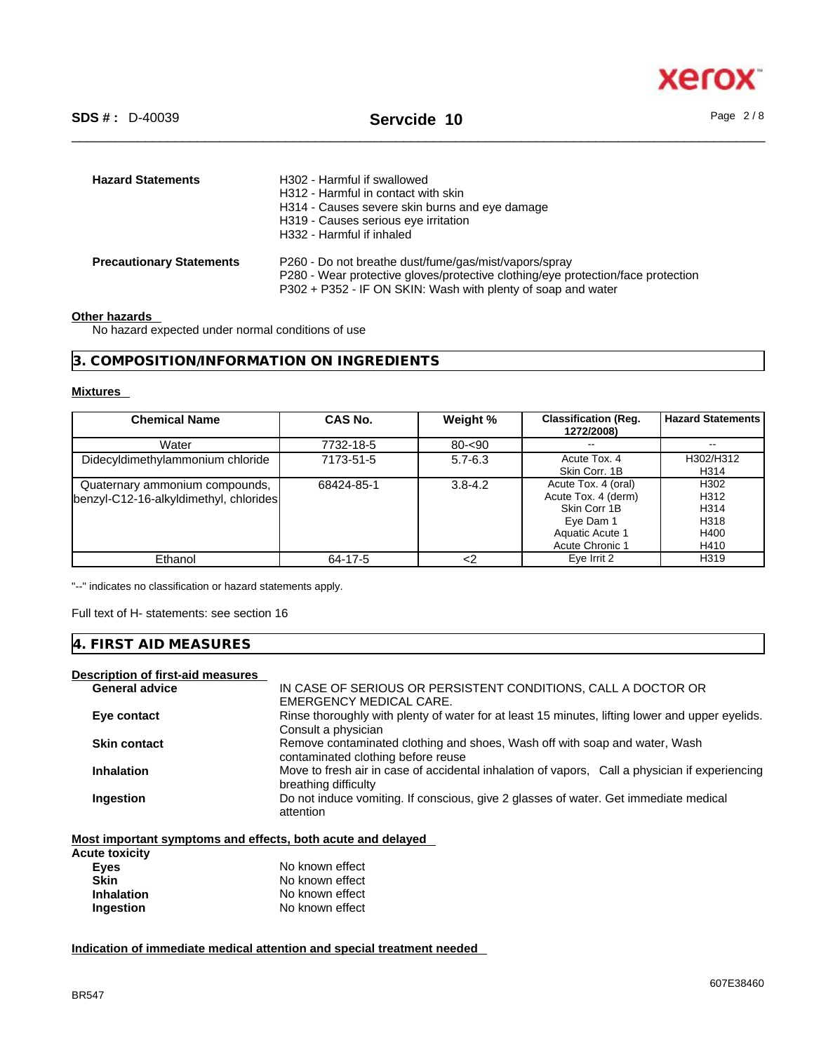

| <b>Hazard Statements</b>        | H302 - Harmful if swallowed<br>H312 - Harmful in contact with skin<br>H314 - Causes severe skin burns and eye damage<br>H319 - Causes serious eye irritation<br>H332 - Harmful if inhaled                 |
|---------------------------------|-----------------------------------------------------------------------------------------------------------------------------------------------------------------------------------------------------------|
| <b>Precautionary Statements</b> | P260 - Do not breathe dust/fume/gas/mist/vapors/spray<br>P280 - Wear protective gloves/protective clothing/eye protection/face protection<br>P302 + P352 - IF ON SKIN: Wash with plenty of soap and water |

#### **Other hazards**

No hazard expected under normal conditions of use

**3. COMPOSITION/INFORMATION ON INGREDIENTS** 

#### **Mixtures**

| <b>Chemical Name</b>                                                     | CAS No.    | Weight %    | <b>Classification (Reg.</b><br>1272/2008)                                                                            | <b>Hazard Statements</b>                     |
|--------------------------------------------------------------------------|------------|-------------|----------------------------------------------------------------------------------------------------------------------|----------------------------------------------|
| Water                                                                    | 7732-18-5  | $80 - 90$   | $- -$                                                                                                                | $\overline{\phantom{m}}$                     |
| Didecyldimethylammonium chloride                                         | 7173-51-5  | $5.7 - 6.3$ | Acute Tox, 4<br>Skin Corr. 1B                                                                                        | H302/H312<br>H314                            |
| Quaternary ammonium compounds,<br>benzyl-C12-16-alkyldimethyl, chlorides | 68424-85-1 | $3.8 - 4.2$ | Acute Tox. 4 (oral)<br>Acute Tox. 4 (derm)<br>Skin Corr 1B<br>Eye Dam 1<br>Aquatic Acute 1<br><b>Acute Chronic 1</b> | H302<br>H312<br>H314<br>H318<br>H400<br>H410 |
| Ethanol                                                                  | 64-17-5    | <2          | Eye Irrit 2                                                                                                          | H319                                         |

"--" indicates no classification or hazard statements apply.

Full text of H- statements: see section 16

# **4. FIRST AID MEASURES**

# **Description of first-aid measures**

| <b>General advice</b> | IN CASE OF SERIOUS OR PERSISTENT CONDITIONS, CALL A DOCTOR OR                                                          |
|-----------------------|------------------------------------------------------------------------------------------------------------------------|
|                       | EMERGENCY MEDICAL CARE.                                                                                                |
| Eye contact           | Rinse thoroughly with plenty of water for at least 15 minutes, lifting lower and upper eyelids.                        |
|                       | Consult a physician                                                                                                    |
| <b>Skin contact</b>   | Remove contaminated clothing and shoes, Wash off with soap and water, Wash<br>contaminated clothing before reuse       |
| <b>Inhalation</b>     | Move to fresh air in case of accidental inhalation of vapors, Call a physician if experiencing<br>breathing difficulty |
| Ingestion             | Do not induce vomiting. If conscious, give 2 glasses of water. Get immediate medical<br>attention                      |

**Most important symptoms and effects, both acute and delayed**

| Acute toxicity    |                 |
|-------------------|-----------------|
| Eyes              | No known effect |
| <b>Skin</b>       | No known effect |
| <b>Inhalation</b> | No known effect |
| Ingestion         | No known effect |

**Indication of immediate medical attention and special treatment needed**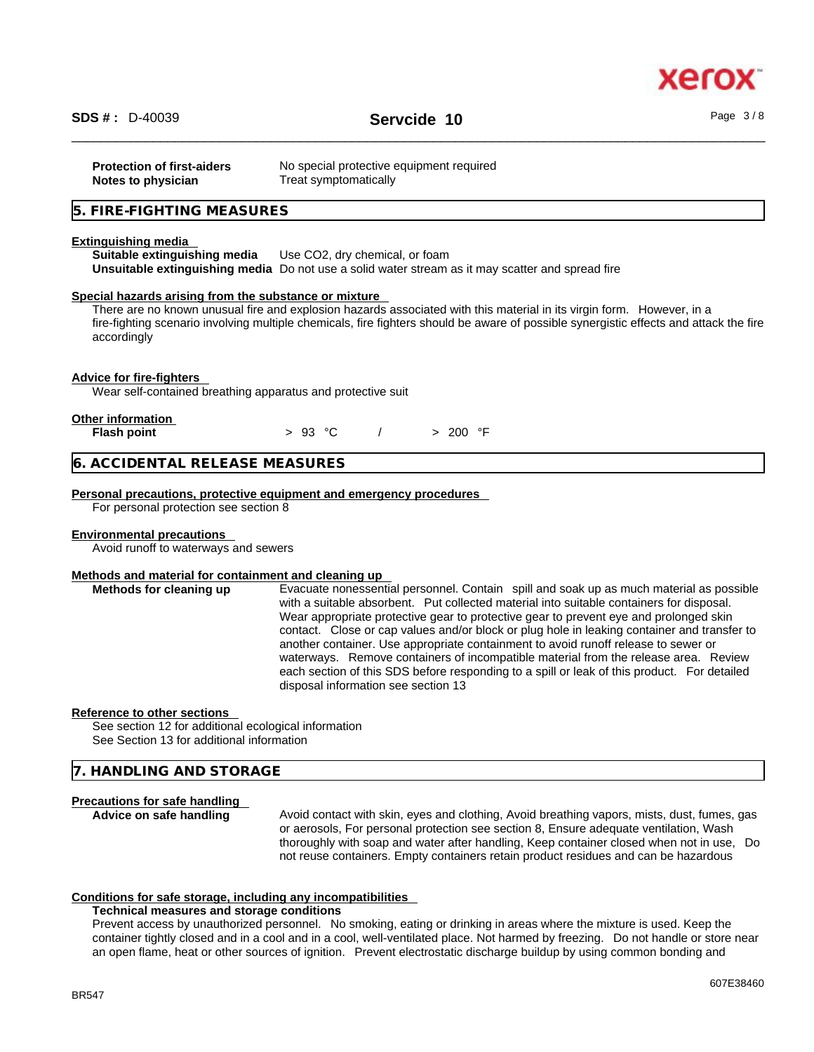

# \_\_\_\_\_\_\_\_\_\_\_\_\_\_\_\_\_\_\_\_\_\_\_\_\_\_\_\_\_\_\_\_\_\_\_\_\_\_\_\_\_\_\_\_\_\_\_\_\_\_\_\_\_\_\_\_\_\_\_\_\_\_\_\_\_\_\_\_\_\_\_\_\_\_\_\_\_\_\_\_\_\_\_\_\_\_\_\_\_\_\_\_\_\_ **SDS # :** D-40039 **Servcide 10** Page 3 / 8

| <b>Protection of first-aiders</b> | No special protective equipment required |
|-----------------------------------|------------------------------------------|
| Notes to physician                | Treat symptomatically                    |

# **5. FIRE-FIGHTING MEASURES**

#### **Extinguishing media**

**Suitable extinguishing media** Use CO2, dry chemical, or foam **Unsuitable extinguishing media** Do not use a solid water stream as it may scatterand spread fire

#### **Special hazards arising from the substance or mixture**

There are no known unusual fire and explosion hazards associated with this material in its virgin form. However, in a fire-fighting scenario involving multiple chemicals, fire fighters should be aware of possible synergistic effects and attack the fire accordingly

#### **Advice for fire-fighters**

Wear self-contained breathing apparatus and protective suit

| <b>Other information</b> |  |
|--------------------------|--|
|                          |  |

**Flash point** > 93 °C / > 200 °F

# **6. ACCIDENTAL RELEASE MEASURES**

#### **Personal precautions, protective equipment and emergency procedures**

For personal protection see section 8

#### **Environmental precautions**

Avoid runoff to waterways and sewers

#### **Methods and material for containment and cleaning up**

**Methods for cleaning up** Evacuate nonessential personnel. Contain spill and soak up as much material as possible with a suitable absorbent. Put collected material into suitable containers for disposal. Wear appropriate protective gear to protective gear to prevent eye and prolonged skin contact. Close or cap values and/or block or plug hole in leaking container and transfer to another container. Use appropriate containment to avoid runoff release to sewer or waterways. Remove containers of incompatible material from the release area. Review each section of this SDS before responding to a spill or leak of this product. For detailed disposal information see section 13

#### **Reference to other sections**

See section 12 for additional ecological information See Section 13 for additional information

### **7. HANDLING AND STORAGE**

#### **Precautions for safe handling**

**Advice on safe handling** Avoid contact with skin, eyes and clothing, Avoid breathing vapors, mists, dust, fumes, gas or aerosols, For personal protection see section 8, Ensure adequate ventilation, Wash thoroughly with soap and water after handling, Keep container closed when not in use, Do not reuse containers. Empty containers retain product residues and can be hazardous

### **Conditions for safe storage, including any incompatibilities**

#### **Technical measures and storage conditions**

Prevent access by unauthorized personnel. No smoking, eating or drinking in areas where the mixture is used. Keep the container tightly closed and in a cool and in a cool, well-ventilated place. Not harmed by freezing. Do not handle or store near an open flame, heat or other sources of ignition. Prevent electrostatic discharge buildup by using common bonding and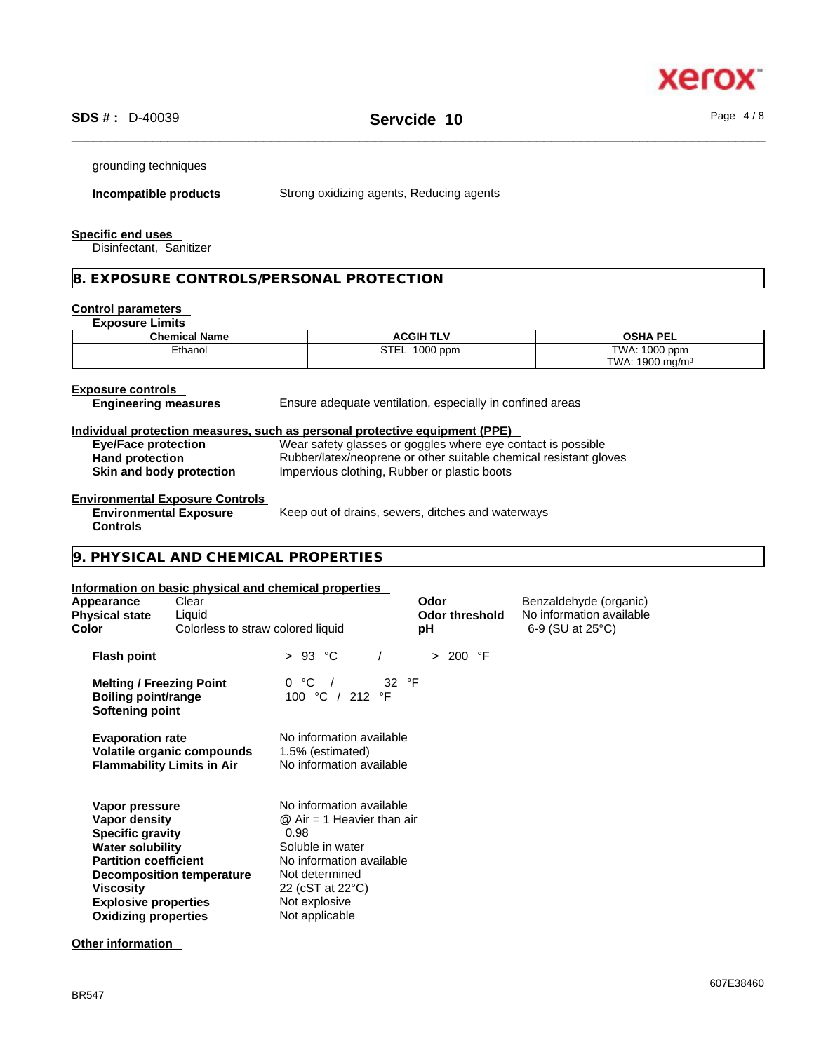

grounding techniques

**Incompatible products** Strong oxidizing agents, Reducing agents

#### **Specific end uses**

Disinfectant, Sanitizer

# **8. EXPOSURE CONTROLS/PERSONAL PROTECTION**

# **Control parameters**

| <b>Exposure Limits</b>                                                                     |                                                                                                                                   |                                              |
|--------------------------------------------------------------------------------------------|-----------------------------------------------------------------------------------------------------------------------------------|----------------------------------------------|
| <b>Chemical Name</b>                                                                       | <b>ACGIH TLV</b>                                                                                                                  | <b>OSHA PEL</b>                              |
| Ethanol                                                                                    | STEL 1000 ppm                                                                                                                     | TWA: 1000 ppm<br>TWA: 1900 mg/m <sup>3</sup> |
| <b>Exposure controls</b><br><b>Engineering measures</b>                                    | Ensure adequate ventilation, especially in confined areas                                                                         |                                              |
|                                                                                            | Individual protection measures, such as personal protective equipment (PPE)                                                       |                                              |
| <b>Eye/Face protection</b><br><b>Hand protection</b>                                       | Wear safety glasses or goggles where eye contact is possible<br>Rubber/latex/neoprene or other suitable chemical resistant gloves |                                              |
| Skin and body protection                                                                   | Impervious clothing, Rubber or plastic boots                                                                                      |                                              |
| <b>Environmental Exposure Controls</b><br><b>Environmental Exposure</b><br><b>Controls</b> | Keep out of drains, sewers, ditches and waterways                                                                                 |                                              |
| 9. PHYSICAL AND CHEMICAL PROPERTIES                                                        |                                                                                                                                   |                                              |

#### **Information on basic physical and chemical properties**

| Appearance<br><b>Physical state</b><br>Color                                                                                                                                                            | Clear<br>Liquid<br>Colorless to straw colored liquid            |                                                                                                                                                                                            | Odor<br><b>Odor threshold</b><br>рH | Benzaldehyde (organic)<br>No information available<br>6-9 (SU at 25°C) |  |
|---------------------------------------------------------------------------------------------------------------------------------------------------------------------------------------------------------|-----------------------------------------------------------------|--------------------------------------------------------------------------------------------------------------------------------------------------------------------------------------------|-------------------------------------|------------------------------------------------------------------------|--|
| <b>Flash point</b>                                                                                                                                                                                      |                                                                 | > 93 °C                                                                                                                                                                                    | > 200 °F                            |                                                                        |  |
| <b>Melting / Freezing Point</b><br><b>Boiling point/range</b><br>Softening point                                                                                                                        |                                                                 | 0 °C /<br>32 °F<br>100 °C / 212 °F                                                                                                                                                         |                                     |                                                                        |  |
| <b>Evaporation rate</b>                                                                                                                                                                                 | Volatile organic compounds<br><b>Flammability Limits in Air</b> | No information available<br>1.5% (estimated)<br>No information available                                                                                                                   |                                     |                                                                        |  |
| Vapor pressure<br>Vapor density<br><b>Specific gravity</b><br><b>Water solubility</b><br><b>Partition coefficient</b><br><b>Viscosity</b><br><b>Explosive properties</b><br><b>Oxidizing properties</b> | <b>Decomposition temperature</b>                                | No information available<br>$@$ Air = 1 Heavier than air<br>0.98<br>Soluble in water<br>No information available<br>Not determined<br>22 (cST at 22 °C)<br>Not explosive<br>Not applicable |                                     |                                                                        |  |

# **Other information**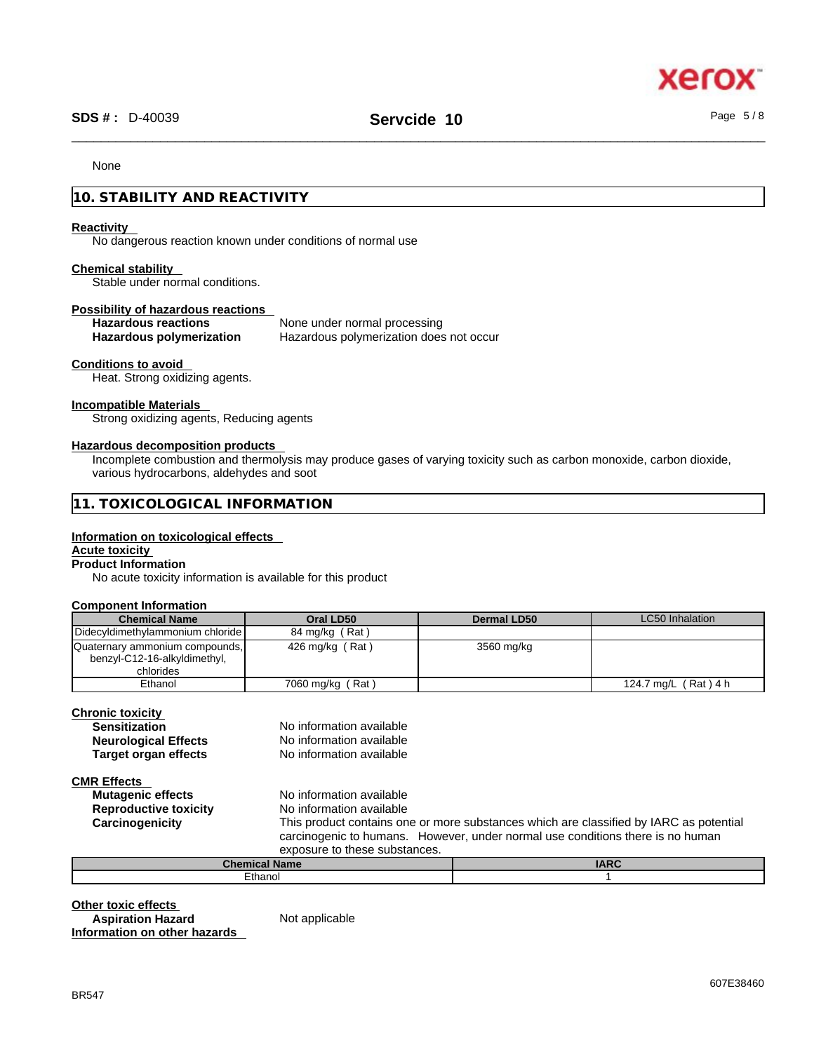

# \_\_\_\_\_\_\_\_\_\_\_\_\_\_\_\_\_\_\_\_\_\_\_\_\_\_\_\_\_\_\_\_\_\_\_\_\_\_\_\_\_\_\_\_\_\_\_\_\_\_\_\_\_\_\_\_\_\_\_\_\_\_\_\_\_\_\_\_\_\_\_\_\_\_\_\_\_\_\_\_\_\_\_\_\_\_\_\_\_\_\_\_\_\_ **SDS # :** D-40039 **Servcide 10** Page 5 / 8

#### None

# **10. STABILITY AND REACTIVITY**

#### **Reactivity**

No dangerous reaction known under conditions of normal use

#### **Chemical stability**

Stable under normal conditions.

#### **Possibility of hazardous reactions**

| <b>Hazardous reactions</b>      | None under normal processing            |
|---------------------------------|-----------------------------------------|
| <b>Hazardous polymerization</b> | Hazardous polymerization does not occur |

## **Conditions to avoid**

Heat. Strong oxidizing agents.

#### **Incompatible Materials**

Strong oxidizing agents, Reducing agents

#### **Hazardous decomposition products**

Incomplete combustion and thermolysis may produce gases of varying toxicity such as carbon monoxide, carbon dioxide, various hydrocarbons, aldehydes and soot

|--|

#### **Information on toxicological effects**

# **Acute toxicity**

# **Product Information**

No acute toxicity information is available for this product

#### **Component Information**

| <b>Chemical Name</b>                                                        | Oral LD50             | Dermal LD50 | LC50 Inhalation      |
|-----------------------------------------------------------------------------|-----------------------|-------------|----------------------|
| Didecyldimethylammonium chloride                                            | 84 mg/kg (Rat)        |             |                      |
| Quaternary ammonium compounds,<br>benzyl-C12-16-alkyldimethyl,<br>chlorides | 426 mg/kg $($ Rat $)$ | 3560 mg/kg  |                      |
| Ethanol                                                                     | 7060 mg/kg (Rat)      |             | 124.7 mg/L (Rat) 4 h |

### **Chronic toxicity**

| <b>Sensitization</b>        | No information available |
|-----------------------------|--------------------------|
| <b>Neurological Effects</b> | No information available |
| <b>Target organ effects</b> | No information available |

**CMR Effects** 

**Reproductive toxicity** No information available

**Mutagenic effects** No information available **Carcinogenicity** This product contains one ormore substances which are classified by IARC as potential carcinogenic to humans. However, under normal use conditions there is no human exposure to these substances.

| Cham<br>Name<br>зниман н | <b>IARC</b> |
|--------------------------|-------------|
| Ethanol                  |             |
|                          |             |

**Other toxic effects**<br> **Aspiration Hazard Not applicable Aspiration Hazard Information on other hazards**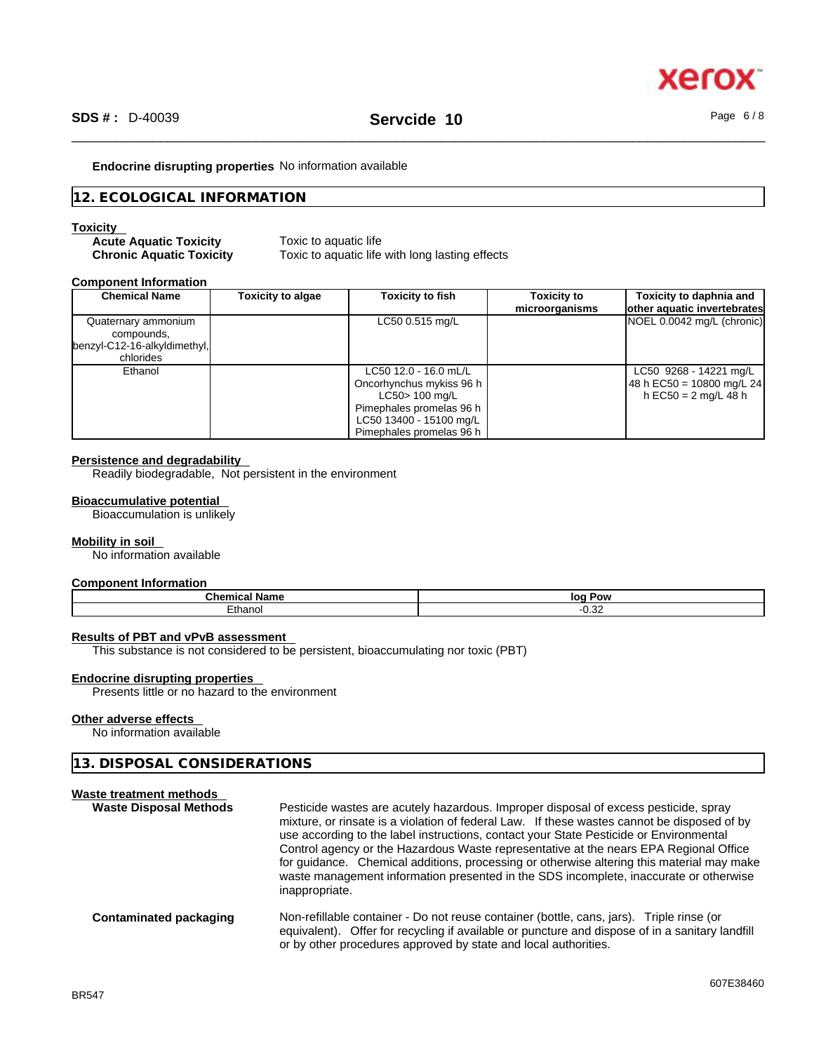

#### **Endocrine disrupting properties** No information available

# **12. ECOLOGICAL INFORMATION**

#### **Toxicity**

| <b>Acute Aquatic Toxicity</b>   |  |
|---------------------------------|--|
| <b>Chronic Aquatic Toxicity</b> |  |

**Toxic to aquatic life** Toxic to aquatic life with long lasting effects

#### **Component Information**

| <b>Chemical Name</b>                                                           | <b>Toxicity to algae</b> | <b>Toxicity to fish</b>                                                                                                                                | <b>Toxicity to</b><br>microorganisms | Toxicity to daphnia and<br>other aquatic invertebrates                      |
|--------------------------------------------------------------------------------|--------------------------|--------------------------------------------------------------------------------------------------------------------------------------------------------|--------------------------------------|-----------------------------------------------------------------------------|
| Quaternary ammonium<br>compounds.<br>benzyl-C12-16-alkyldimethyl,<br>chlorides |                          | LC50 0.515 mg/L                                                                                                                                        |                                      | NOEL 0.0042 mg/L (chronic)                                                  |
| Ethanol                                                                        |                          | LC50 12.0 - 16.0 mL/L<br>Oncorhynchus mykiss 96 h<br>LC50> 100 mg/L<br>Pimephales promelas 96 h<br>LC50 13400 - 15100 mg/L<br>Pimephales promelas 96 h |                                      | LC50 9268 - 14221 mg/L<br>48 h EC50 = 10800 mg/L 24<br>h EC50 = 2 mg/L 48 h |

# **Persistence and degradability**

Readily biodegradable, Not persistent in the environment

#### **Bioaccumulative potential**

Bioaccumulation is unlikely

#### **Mobility in soil**

No information available

#### **Component Information**

| Mhan                         | lor<br>Ром |
|------------------------------|------------|
| $H$ nono<br>.तात्ना<br>טויי. | ےں.ں۔      |

#### **Results of PBT and vPvB assessment**

This substance is not considered to be persistent, bioaccumulating nor toxic (PBT)

#### **Endocrine disrupting properties**

Presents little or no hazard to the environment

#### **Other adverse effects**

No information available

# **13. DISPOSAL CONSIDERATIONS**

| Waste treatment methods<br><b>Waste Disposal Methods</b> | Pesticide wastes are acutely hazardous. Improper disposal of excess pesticide, spray<br>mixture, or rinsate is a violation of federal Law. If these wastes cannot be disposed of by<br>use according to the label instructions, contact your State Pesticide or Environmental<br>Control agency or the Hazardous Waste representative at the nears EPA Regional Office<br>for guidance. Chemical additions, processing or otherwise altering this material may make<br>waste management information presented in the SDS incomplete, inaccurate or otherwise<br>inappropriate. |
|----------------------------------------------------------|--------------------------------------------------------------------------------------------------------------------------------------------------------------------------------------------------------------------------------------------------------------------------------------------------------------------------------------------------------------------------------------------------------------------------------------------------------------------------------------------------------------------------------------------------------------------------------|
| Contaminated packaging                                   | Non-refillable container - Do not reuse container (bottle, cans, jars). Triple rinse (or<br>equivalent). Offer for recycling if available or puncture and dispose of in a sanitary landfill<br>or by other procedures approved by state and local authorities.                                                                                                                                                                                                                                                                                                                 |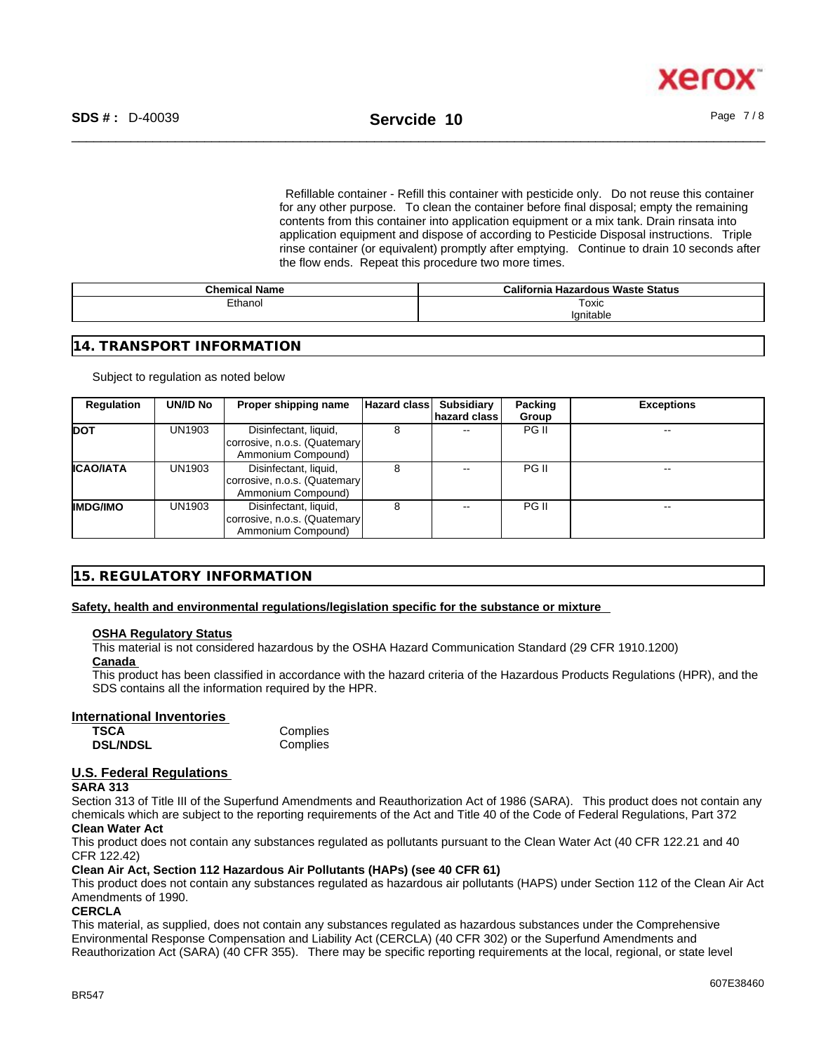xerc

Refillable container - Refill this container with pesticide only. Do not reuse this container for any other purpose. To clean the container before final disposal; empty the remaining contents from this container into application equipment or a mix tank. Drain rinsata into application equipment and dispose of according to Pesticide Disposal instructions. Triple rinse container (or equivalent) promptly after emptying. Continue to drain 10 seconds after the flow ends. Repeat this procedure two more times.

| <b>Chemical Name</b> | <b>California Hazardous Waste Status</b> |
|----------------------|------------------------------------------|
| Ethanol              | Toxic                                    |
|                      | 'anitable                                |

# **14. TRANSPORT INFORMATION**

#### Subject to regulation as noted below

| Regulation       | <b>UN/ID No</b> | Proper shipping name                                                        | Hazard class | <b>Subsidiary</b> | Packing | <b>Exceptions</b> |
|------------------|-----------------|-----------------------------------------------------------------------------|--------------|-------------------|---------|-------------------|
|                  |                 |                                                                             |              | hazard class      | Group   |                   |
| <b>DOT</b>       | UN1903          | Disinfectant, liquid,<br>corrosive, n.o.s. (Quatemary<br>Ammonium Compound) |              |                   | PG II   | $- -$             |
| <b>ICAO/IATA</b> | UN1903          | Disinfectant, liquid,<br>corrosive, n.o.s. (Quatemary<br>Ammonium Compound) |              |                   | PG II   | --                |
| <b>IMDG/IMO</b>  | UN1903          | Disinfectant, liquid,<br>corrosive, n.o.s. (Quatemary<br>Ammonium Compound) |              |                   | PG II   | $- -$             |

# **15. REGULATORY INFORMATION**

### **Safety, health and environmental regulations/legislation specific for the substance or mixture**

#### **OSHA Regulatory Status**

This material is not considered hazardous by the OSHA Hazard Communication Standard (29 CFR 1910.1200)

# **Canada**

This product has been classified in accordance with the hazard criteria of the Hazardous Products Regulations (HPR), and the SDS contains all the information required by the HPR.

### **International Inventories**

| TSCA            | Complies |
|-----------------|----------|
| <b>DSL/NDSL</b> | Complies |

# **U.S. Federal Regulations**

#### **SARA 313**

Section 313 of Title III of the Superfund Amendments and Reauthorization Act of 1986 (SARA). This product does not contain any chemicals which are subject to the reporting requirements of the Act and Title 40 of the Code of Federal Regulations, Part 372 **Clean Water Act**

This product does not contain any substances regulated as pollutants pursuant to the Clean Water Act (40 CFR 122.21 and 40 CFR 122.42)

### **Clean Air Act,Section 112 Hazardous Air Pollutants (HAPs) (see 40 CFR 61)**

This product does not contain any substances regulated as hazardous air pollutants (HAPS) under Section 112 of the Clean Air Act Amendments of 1990.

### **CERCLA**

This material, as supplied, does not contain any substances regulated as hazardous substances under the Comprehensive Environmental Response Compensation and Liability Act (CERCLA) (40 CFR 302) or the Superfund Amendments and Reauthorization Act (SARA) (40 CFR 355). There may be specific reporting requirements at the local, regional, or state level